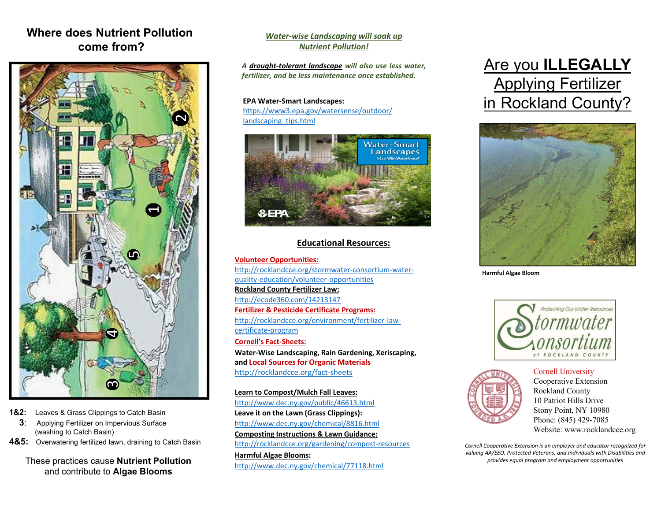## **Where does Nutrient Pollutioncome from?**



- **1&2:** Leaves & Grass Clippings to Catch Basin
	- **3**: Applying Fertilizer on Impervious Surface (washing to Catch Basin)
- **4&5:** Overwatering fertilized lawn, draining to Catch Basin

These practices cause **Nutrient Pollution**  and contribute to **Algae Blooms**

### *Water‐wise Landscaping will soak up Nutrient Pollution!*

*A drought‐tolerant landscape will also use less water, fertilizer, and be less maintenance once established.*

#### **EPA Water‐Smart Landscapes:**

https://www3.epa.gov/watersense/outdoor/ landscaping\_tips.html



### **Educational Resources:**

**Volunteer Opportunities:** http://rocklandcce.org/stormwater‐consortium‐water‐ quality‐education/volunteer‐opportunities **Rockland County Fertilizer Law:** http://ecode360.com/14213147 **Fertilizer & Pesticide Certificate Programs:** http://rocklandcce.org/environment/fertilizer‐law‐ certificate‐program **Cornell's Fact‐Sheets:Water‐Wise Landscaping, Rain Gardening, Xeriscaping, and Local Sources for Organic Materials** http://rocklandcce.org/fact‐sheets

**Learn to Compost/Mulch Fall Leaves:**  http://www.dec.ny.gov/public/46613.html **Leave it on the Lawn (Grass Clippings):**  http://www.dec.ny.gov/chemical/8816.html **Composting Instructions & Lawn Guidance:** http://rocklandcce.org/gardening/compost‐resources **Harmful Algae Blooms:** 

http://www.dec.ny.gov/chemical/77118.html

# Are you **ILLEGALLY** Applying Fertilizer in Rockland County?



**Harmful Algae Bloom**



Cornell University Cooperative Extension Rockland County 10 Patriot Hills Drive Stony Point, NY 10980 Phone: (845) 429-7085 Website: www.rocklandcce.org

*Cornell Cooperative Extension is an employer and educator recognized for valuing AA/EEO, Protected Veterans, and Individuals with Disabilities and provides equal program and employment opportunities*